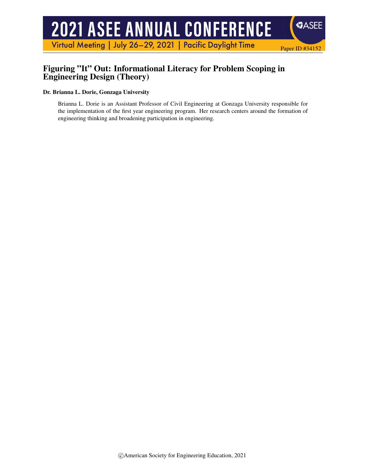# **2021 ASEE ANNUAL CONFERENCE**

Virtual Meeting | July 26-29, 2021 | Pacific Daylight Time

# Figuring "It" Out: Informational Literacy for Problem Scoping in Engineering Design (Theory)

#### Dr. Brianna L. Dorie, Gonzaga University

Brianna L. Dorie is an Assistant Professor of Civil Engineering at Gonzaga University responsible for the implementation of the first year engineering program. Her research centers around the formation of engineering thinking and broadening participation in engineering.

Paper ID #34152

**SASEE**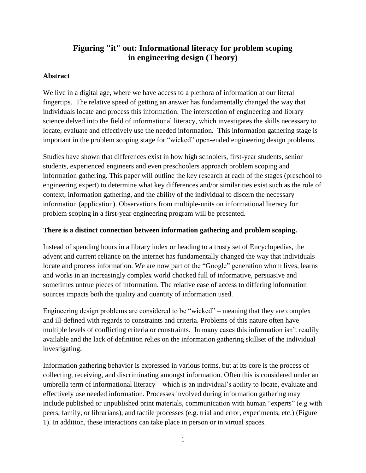# **Figuring "it" out: Informational literacy for problem scoping in engineering design (Theory)**

## **Abstract**

We live in a digital age, where we have access to a plethora of information at our literal fingertips. The relative speed of getting an answer has fundamentally changed the way that individuals locate and process this information. The intersection of engineering and library science delved into the field of informational literacy, which investigates the skills necessary to locate, evaluate and effectively use the needed information. This information gathering stage is important in the problem scoping stage for "wicked" open-ended engineering design problems.

Studies have shown that differences exist in how high schoolers, first-year students, senior students, experienced engineers and even preschoolers approach problem scoping and information gathering. This paper will outline the key research at each of the stages (preschool to engineering expert) to determine what key differences and/or similarities exist such as the role of context, information gathering, and the ability of the individual to discern the necessary information (application). Observations from multiple-units on informational literacy for problem scoping in a first-year engineering program will be presented.

### **There is a distinct connection between information gathering and problem scoping.**

Instead of spending hours in a library index or heading to a trusty set of Encyclopedias, the advent and current reliance on the internet has fundamentally changed the way that individuals locate and process information. We are now part of the "Google" generation whom lives, learns and works in an increasingly complex world chocked full of informative, persuasive and sometimes untrue pieces of information. The relative ease of access to differing information sources impacts both the quality and quantity of information used.

Engineering design problems are considered to be "wicked" – meaning that they are complex and ill-defined with regards to constraints and criteria. Problems of this nature often have multiple levels of conflicting criteria or constraints. In many cases this information isn't readily available and the lack of definition relies on the information gathering skillset of the individual investigating.

Information gathering behavior is expressed in various forms, but at its core is the process of collecting, receiving, and discriminating amongst information. Often this is considered under an umbrella term of informational literacy – which is an individual's ability to locate, evaluate and effectively use needed information. Processes involved during information gathering may include published or unpublished print materials, communication with human "experts" (e.g with peers, family, or librarians), and tactile processes (e.g. trial and error, experiments, etc.) (Figure 1). In addition, these interactions can take place in person or in virtual spaces.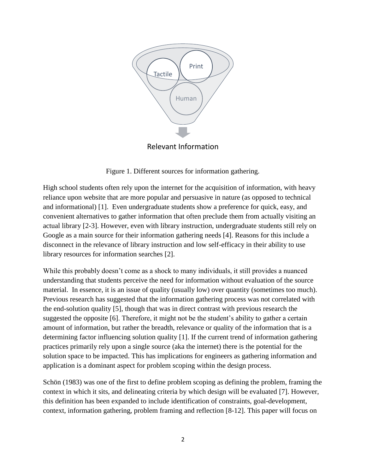

Figure 1. Different sources for information gathering.

High school students often rely upon the internet for the acquisition of information, with heavy reliance upon website that are more popular and persuasive in nature (as opposed to technical and informational) [1]. Even undergraduate students show a preference for quick, easy, and convenient alternatives to gather information that often preclude them from actually visiting an actual library [2-3]. However, even with library instruction, undergraduate students still rely on Google as a main source for their information gathering needs [4]. Reasons for this include a disconnect in the relevance of library instruction and low self-efficacy in their ability to use library resources for information searches [2].

While this probably doesn't come as a shock to many individuals, it still provides a nuanced understanding that students perceive the need for information without evaluation of the source material. In essence, it is an issue of quality (usually low) over quantity (sometimes too much). Previous research has suggested that the information gathering process was not correlated with the end-solution quality [5], though that was in direct contrast with previous research the suggested the opposite [6]. Therefore, it might not be the student's ability to gather a certain amount of information, but rather the breadth, relevance or quality of the information that is a determining factor influencing solution quality [1]. If the current trend of information gathering practices primarily rely upon a single source (aka the internet) there is the potential for the solution space to be impacted. This has implications for engineers as gathering information and application is a dominant aspect for problem scoping within the design process.

Schön (1983) was one of the first to define problem scoping as defining the problem, framing the context in which it sits, and delineating criteria by which design will be evaluated [7]. However, this definition has been expanded to include identification of constraints, goal-development, context, information gathering, problem framing and reflection [8-12]. This paper will focus on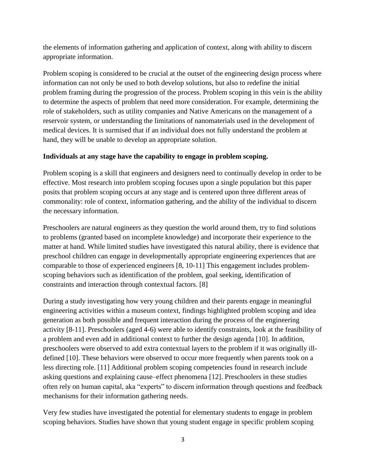the elements of information gathering and application of context, along with ability to discern appropriate information.

Problem scoping is considered to be crucial at the outset of the engineering design process where information can not only be used to both develop solutions, but also to redefine the initial problem framing during the progression of the process. Problem scoping in this vein is the ability to determine the aspects of problem that need more consideration. For example, determining the role of stakeholders, such as utility companies and Native Americans on the management of a reservoir system, or understanding the limitations of nanomaterials used in the development of medical devices. It is surmised that if an individual does not fully understand the problem at hand, they will be unable to develop an appropriate solution.

## **Individuals at any stage have the capability to engage in problem scoping.**

Problem scoping is a skill that engineers and designers need to continually develop in order to be effective. Most research into problem scoping focuses upon a single population but this paper posits that problem scoping occurs at any stage and is centered upon three different areas of commonality: role of context, information gathering, and the ability of the individual to discern the necessary information.

Preschoolers are natural engineers as they question the world around them, try to find solutions to problems (granted based on incomplete knowledge) and incorporate their experience to the matter at hand. While limited studies have investigated this natural ability, there is evidence that preschool children can engage in developmentally appropriate engineering experiences that are comparable to those of experienced engineers [8, 10-11] This engagement includes problemscoping behaviors such as identification of the problem, goal seeking, identification of constraints and interaction through contextual factors. [8]

During a study investigating how very young children and their parents engage in meaningful engineering activities within a museum context, findings highlighted problem scoping and idea generation as both possible and frequent interaction during the process of the engineering activity [8-11]. Preschoolers (aged 4-6) were able to identify constraints, look at the feasibility of a problem and even add in additional context to further the design agenda [10]. In addition, preschoolers were observed to add extra contextual layers to the problem if it was originally illdefined [10]. These behaviors were observed to occur more frequently when parents took on a less directing role. [11] Additional problem scoping competencies found in research include asking questions and explaining cause–effect phenomena [12]. Preschoolers in these studies often rely on human capital, aka "experts" to discern information through questions and feedback mechanisms for their information gathering needs.

Very few studies have investigated the potential for elementary students to engage in problem scoping behaviors. Studies have shown that young student engage in specific problem scoping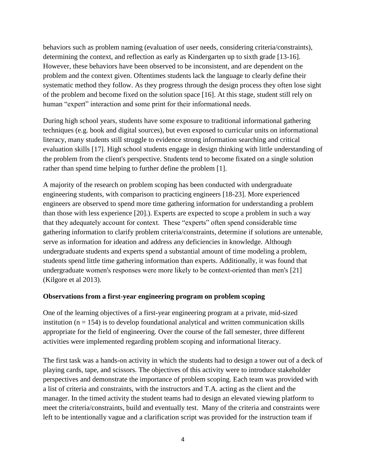behaviors such as problem naming (evaluation of user needs, considering criteria/constraints), determining the context, and reflection as early as Kindergarten up to sixth grade [13-16]. However, these behaviors have been observed to be inconsistent, and are dependent on the problem and the context given. Oftentimes students lack the language to clearly define their systematic method they follow. As they progress through the design process they often lose sight of the problem and become fixed on the solution space [16]. At this stage, student still rely on human "expert" interaction and some print for their informational needs.

During high school years, students have some exposure to traditional informational gathering techniques (e.g. book and digital sources), but even exposed to curricular units on informational literacy, many students still struggle to evidence strong information searching and critical evaluation skills [17]. High school students engage in design thinking with little understanding of the problem from the client's perspective. Students tend to become fixated on a single solution rather than spend time helping to further define the problem [1].

A majority of the research on problem scoping has been conducted with undergraduate engineering students, with comparison to practicing engineers [18-23]. More experienced engineers are observed to spend more time gathering information for understanding a problem than those with less experience [20].). Experts are expected to scope a problem in such a way that they adequately account for context. These "experts" often spend considerable time gathering information to clarify problem criteria/constraints, determine if solutions are untenable, serve as information for ideation and address any deficiencies in knowledge. Although undergraduate students and experts spend a substantial amount of time modeling a problem, students spend little time gathering information than experts. Additionally, it was found that undergraduate women's responses were more likely to be context-oriented than men's [21] (Kilgore et al 2013).

#### **Observations from a first-year engineering program on problem scoping**

One of the learning objectives of a first-year engineering program at a private, mid-sized institution  $(n = 154)$  is to develop foundational analytical and written communication skills appropriate for the field of engineering. Over the course of the fall semester, three different activities were implemented regarding problem scoping and informational literacy.

The first task was a hands-on activity in which the students had to design a tower out of a deck of playing cards, tape, and scissors. The objectives of this activity were to introduce stakeholder perspectives and demonstrate the importance of problem scoping. Each team was provided with a list of criteria and constraints, with the instructors and T.A. acting as the client and the manager. In the timed activity the student teams had to design an elevated viewing platform to meet the criteria/constraints, build and eventually test. Many of the criteria and constraints were left to be intentionally vague and a clarification script was provided for the instruction team if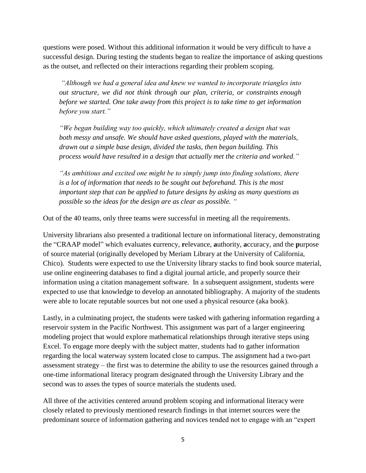questions were posed. Without this additional information it would be very difficult to have a successful design. During testing the students began to realize the importance of asking questions as the outset, and reflected on their interactions regarding their problem scoping.

*"Although we had a general idea and knew we wanted to incorporate triangles into out structure, we did not think through our plan, criteria, or constraints enough before we started. One take away from this project is to take time to get information before you start."*

*"We began building way too quickly, which ultimately created a design that was both messy and unsafe. We should have asked questions, played with the materials, drawn out a simple base design, divided the tasks, then began building. This process would have resulted in a design that actually met the criteria and worked."*

*"As ambitious and excited one might be to simply jump into finding solutions, there is a lot of information that needs to be sought out beforehand. This is the most important step that can be applied to future designs by asking as many questions as possible so the ideas for the design are as clear as possible. "*

Out of the 40 teams, only three teams were successful in meeting all the requirements.

University librarians also presented a traditional lecture on informational literacy, demonstrating the "CRAAP model" which evaluates **c**urrency, **r**elevance, **a**uthority, **a**ccuracy, and the **p**urpose of source material (originally developed by Meriam Library at the University of California, Chico). Students were expected to use the University library stacks to find book source material, use online engineering databases to find a digital journal article, and properly source their information using a citation management software. In a subsequent assignment, students were expected to use that knowledge to develop an annotated bibliography. A majority of the students were able to locate reputable sources but not one used a physical resource (aka book).

Lastly, in a culminating project, the students were tasked with gathering information regarding a reservoir system in the Pacific Northwest. This assignment was part of a larger engineering modeling project that would explore mathematical relationships through iterative steps using Excel. To engage more deeply with the subject matter, students had to gather information regarding the local waterway system located close to campus. The assignment had a two-part assessment strategy – the first was to determine the ability to use the resources gained through a one-time informational literacy program designated through the University Library and the second was to asses the types of source materials the students used.

All three of the activities centered around problem scoping and informational literacy were closely related to previously mentioned research findings in that internet sources were the predominant source of information gathering and novices tended not to engage with an "expert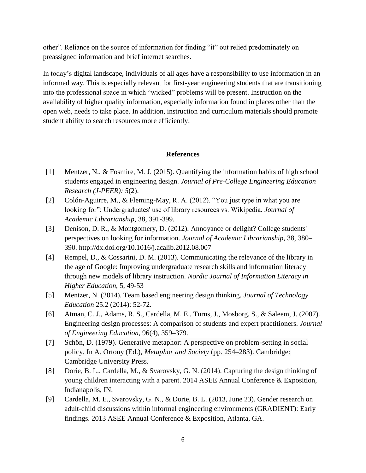other". Reliance on the source of information for finding "it" out relied predominately on preassigned information and brief internet searches.

In today's digital landscape, individuals of all ages have a responsibility to use information in an informed way. This is especially relevant for first-year engineering students that are transitioning into the professional space in which "wicked" problems will be present. Instruction on the availability of higher quality information, especially information found in places other than the open web, needs to take place. In addition, instruction and curriculum materials should promote student ability to search resources more efficiently.

#### **References**

- [1] Mentzer, N., & Fosmire, M. J. (2015). Quantifying the information habits of high school students engaged in engineering design. *Journal of Pre-College Engineering Education Research (J-PEER): 5*(2).
- [2] Colón-Aguirre, M., & Fleming-May, R. A. (2012). "You just type in what you are looking for": Undergraduates' use of library resources vs. Wikipedia. *Journal of Academic Librarianship*, 38, 391-399.
- [3] Denison, D. R., & Montgomery, D. (2012). Annoyance or delight? College students' perspectives on looking for information. *Journal of Academic Librarianship*, 38, 380– 390.<http://dx.doi.org/10.1016/j.acalib.2012.08.007>
- [4] Rempel, D., & Cossarini, D. M. (2013). Communicating the relevance of the library in the age of Google: Improving undergraduate research skills and information literacy through new models of library instruction. *Nordic Journal of Information Literacy in Higher Education*, 5, 49-53
- [5] Mentzer, N. (2014). Team based engineering design thinking. *Journal of Technology Education* 25.2 (2014): 52-72.
- [6] Atman, C. J., Adams, R. S., Cardella, M. E., Turns, J., Mosborg, S., & Saleem, J. (2007). Engineering design processes: A comparison of students and expert practitioners. *Journal of Engineering Education*, 96(4), 359–379.
- [7] Schön, D. (1979). Generative metaphor: A perspective on problem-setting in social policy. In A. Ortony (Ed.), *Metaphor and Society* (pp. 254–283). Cambridge: Cambridge University Press.
- [8] Dorie, B. L., Cardella, M., & Svarovsky, G. N. (2014). Capturing the design thinking of young children interacting with a parent. 2014 ASEE Annual Conference & Exposition, Indianapolis, IN.
- [9] Cardella, M. E., Svarovsky, G. N., & Dorie, B. L. (2013, June 23). Gender research on adult-child discussions within informal engineering environments (GRADIENT): Early findings. 2013 ASEE Annual Conference & Exposition, Atlanta, GA.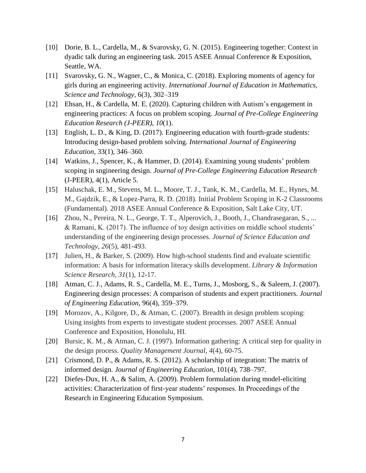- [10] Dorie, B. L., Cardella, M., & Svarovsky, G. N. (2015). Engineering together: Context in dyadic talk during an engineering task. 2015 ASEE Annual Conference & Exposition, Seattle, WA.
- [11] Svarovsky, G. N., Wagner, C., & Monica, C. (2018). Exploring moments of agency for girls during an engineering activity. *International Journal of Education in Mathematics, Science and Technology,* 6(3), 302–319
- [12] Ehsan, H., & Cardella, M. E. (2020). Capturing children with Autism's engagement in engineering practices: A focus on problem scoping. *Journal of Pre-College Engineering Education Research (J-PEER), 10*(1).
- [13] English, L. D., & King, D. (2017). Engineering education with fourth-grade students: Introducing design-based problem solving. *International Journal of Engineering Education,* 33(1), 346–360.
- [14] Watkins, J., Spencer, K., & Hammer, D. (2014). Examining young students' problem scoping in sngineering design. *Journal of Pre-College Engineering Education Research* (J-PEER), 4(1), Article 5.
- [15] Haluschak, E. M., Stevens, M. L., Moore, T. J., Tank, K. M., Cardella, M. E., Hynes, M. M., Gajdzik, E., & Lopez-Parra, R. D. (2018). Initial Problem Scoping in K-2 Classrooms (Fundamental). 2018 ASEE Annual Conference & Exposition, Salt Lake City, UT.
- [16] Zhou, N., Pereira, N. L., George, T. T., Alperovich, J., Booth, J., Chandrasegaran, S., ... & Ramani, K. (2017). The influence of toy design activities on middle school students' understanding of the engineering design processes. *Journal of Science Education and Technology*, *26*(5), 481-493.
- [17] Julien, H., & Barker, S. (2009). How high-school students find and evaluate scientific information: A basis for information literacy skills development. *Library & Information Science Research*, *31*(1), 12-17.
- [18] Atman, C. J., Adams, R. S., Cardella, M. E., Turns, J., Mosborg, S., & Saleem, J. (2007). Engineering design processes: A comparison of students and expert practitioners. *Journal of Engineering Education*, 96(4), 359–379.
- [19] Morozov, A., Kilgore, D., & Atman, C. (2007). Breadth in design problem scoping: Using insights from experts to investigate student processes. 2007 ASEE Annual Conference and Exposition, Honolulu, HI.
- [20] Bursic, K. M., & Atman, C. J. (1997). Information gathering: A critical step for quality in the design process. *Quality Management Journal*, *4*(4), 60-75.
- [21] Crismond, D. P., & Adams, R. S. (2012). A scholarship of integration: The matrix of informed design*. Journal of Engineering Education*, 101(4), 738–797.
- [22] Diefes-Dux, H. A., & Salim, A. (2009). Problem formulation during model-eliciting activities: Characterization of first-year students' responses. In Proceedings of the Research in Engineering Education Symposium.